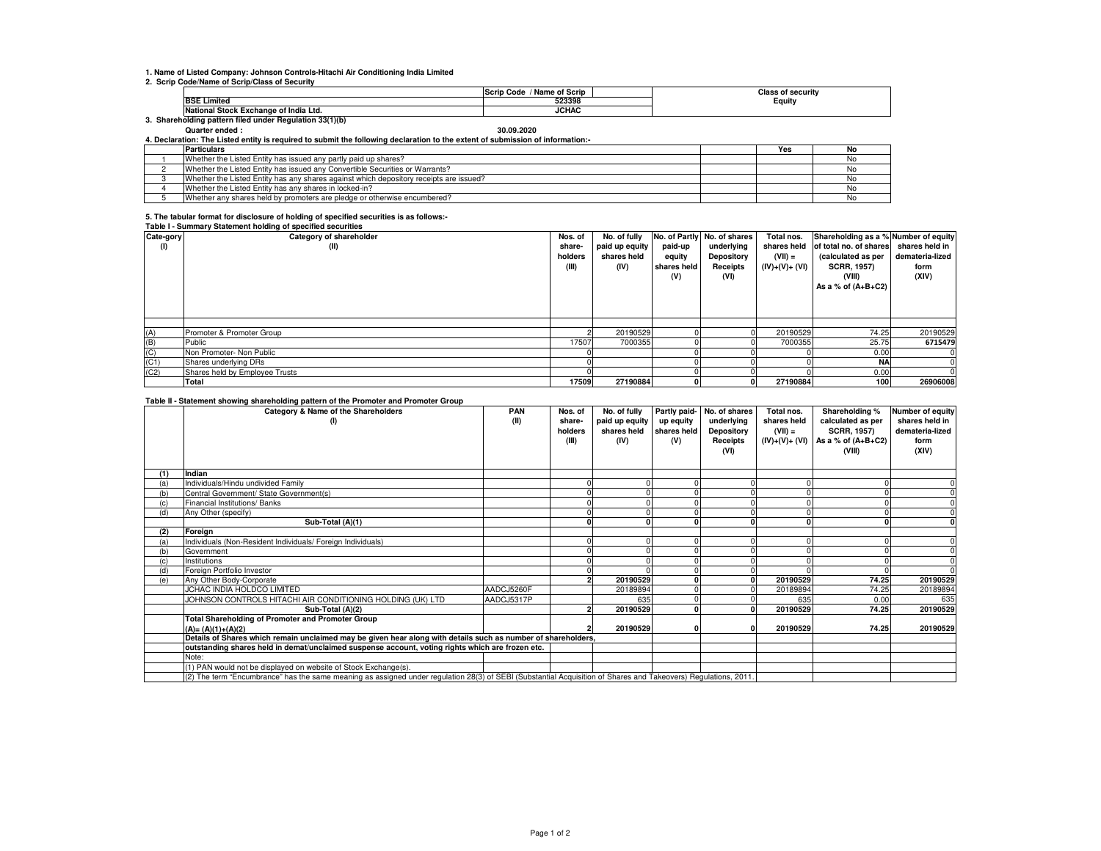## **1. Name of Listed Company: Johnson Controls-Hitachi Air Conditioning India Limited**

### **2. Scrip Code/Name of Scrip/Class of Security**

|                                                      |                                                 | <b>Name of Scrip</b><br>lScr<br>ode;<br>IVc |  | f securitv |  |  |  |  |  |
|------------------------------------------------------|-------------------------------------------------|---------------------------------------------|--|------------|--|--|--|--|--|
|                                                      | <b>BSE Limited</b>                              | 523398                                      |  | Equity     |  |  |  |  |  |
|                                                      | .l Stock Exchange of India Ltd.<br>.Natı<br>ona | <b>JCHAC</b>                                |  |            |  |  |  |  |  |
| Shareholding pattern filed under Regulation 33(1)(b) |                                                 |                                             |  |            |  |  |  |  |  |

# **Quarter ended : 30.09.2020**

**4. Declaration: The Listed entity is required to submit the following declaration to the extent of submission of information:-**

| Particulars                                                                            | Yes | No |
|----------------------------------------------------------------------------------------|-----|----|
| Whether the Listed Entity has issued any partly paid up shares?                        |     |    |
| Whether the Listed Entity has issued any Convertible Securities or Warrants?           |     |    |
| Whether the Listed Entity has any shares against which depository receipts are issued? |     |    |
| Whether the Listed Entity has any shares in locked-in?                                 |     |    |
| Whether any shares held by promoters are pledge or otherwise encumbered?               |     | NO |

# **5. The tabular format for disclosure of holding of specified securities is as follows:- Table I - Summary Statement holding of specified securities**

| Cate-gory | Table L. Califfich V Clateriterit Holding or Specifica Securities<br>Category of shareholder | Nos. of           | No. of fully                  |                       | No. of Partly No. of shares | Total nos.                  | Shareholding as a % Number of equity         |                                   |
|-----------|----------------------------------------------------------------------------------------------|-------------------|-------------------------------|-----------------------|-----------------------------|-----------------------------|----------------------------------------------|-----------------------------------|
| (1)       | (II)                                                                                         | share-<br>holders | paid up equity<br>shares held | paid-up               | underlying                  | shares held                 | of total no. of shares<br>(calculated as per | shares held in<br>demateria-lized |
|           |                                                                                              | (III)             | (IV)                          | equity<br>shares held | Depository<br>Receipts      | $(VII) =$<br>(IV)+(V)+ (VI) | <b>SCRR, 1957)</b>                           | form                              |
|           |                                                                                              |                   |                               | (V)                   | (VI)                        |                             | (VIII)                                       | (XIV)                             |
|           |                                                                                              |                   |                               |                       |                             |                             | As a % of $(A+B+C2)$                         |                                   |
|           |                                                                                              |                   |                               |                       |                             |                             |                                              |                                   |
|           |                                                                                              |                   |                               |                       |                             |                             |                                              |                                   |
|           |                                                                                              |                   |                               |                       |                             |                             |                                              |                                   |
|           |                                                                                              |                   |                               |                       |                             |                             |                                              |                                   |
| (A)       | Promoter & Promoter Group                                                                    |                   | 20190529                      |                       |                             | 20190529                    | 74.25                                        | 20190529                          |
| (B)       | Public                                                                                       | 17507             | 7000355                       |                       |                             | 7000355                     | 25.75                                        | 6715479                           |
| (C)       | Non Promoter- Non Public                                                                     |                   |                               |                       |                             |                             | 0.00                                         | $^{\prime}$                       |
| (C1)      | Shares underlying DRs                                                                        |                   |                               |                       |                             |                             | NA                                           |                                   |
| (C2)      | Shares held by Employee Trusts                                                               |                   |                               |                       |                             |                             | 0.00                                         |                                   |
|           | Total                                                                                        | 17509             | 27190884                      |                       | $\Omega$                    | 27190884                    | 100 <sub>1</sub>                             | 26906008                          |

## **Table II - Statement showing shareholding pattern of the Promoter and Promoter Group**

|     | and a procession of the main of particular of the complete and complete when<br>Category & Name of the Shareholders                                             | PAN        | Nos. of | No. of fully   |             | Partly paid- No. of shares | Total nos.     | Shareholding %       | Number of equity |
|-----|-----------------------------------------------------------------------------------------------------------------------------------------------------------------|------------|---------|----------------|-------------|----------------------------|----------------|----------------------|------------------|
|     | (1)                                                                                                                                                             | (II)       | share-  | paid up equity | up equity   | underlying                 | shares held    | calculated as per    | shares held in   |
|     |                                                                                                                                                                 |            | holders | shares held    | shares held | Depository                 | $(VII) =$      | <b>SCRR, 1957)</b>   | demateria-lized  |
|     |                                                                                                                                                                 |            | (III)   | (IV)           | (V)         | Receipts                   | (IV)+(V)+ (VI) | As a % of $(A+B+C2)$ | form             |
|     |                                                                                                                                                                 |            |         |                |             | (VI)                       |                | (VIII)               | (XIV)            |
|     |                                                                                                                                                                 |            |         |                |             |                            |                |                      |                  |
| (1) | Indian                                                                                                                                                          |            |         |                |             |                            |                |                      |                  |
| (a) | Individuals/Hindu undivided Family                                                                                                                              |            |         |                |             |                            |                |                      |                  |
| (b) | Central Government/ State Government(s)                                                                                                                         |            |         |                |             |                            |                |                      |                  |
|     | Financial Institutions/ Banks                                                                                                                                   |            |         |                |             |                            |                |                      |                  |
| (d) | Any Other (specify)                                                                                                                                             |            |         |                |             |                            |                |                      |                  |
|     | Sub-Total (A)(1)                                                                                                                                                |            |         |                |             |                            |                |                      |                  |
| (2) | Foreign                                                                                                                                                         |            |         |                |             |                            |                |                      |                  |
| (a) | Individuals (Non-Resident Individuals/ Foreign Individuals)                                                                                                     |            |         |                |             |                            |                |                      |                  |
| (b) | Government                                                                                                                                                      |            |         |                |             |                            |                |                      |                  |
| (c) | Institutions                                                                                                                                                    |            |         |                |             |                            |                |                      |                  |
| (d) | Foreign Portfolio Investor                                                                                                                                      |            |         |                |             |                            |                |                      |                  |
| (e) | Any Other Body-Corporate                                                                                                                                        |            |         | 20190529       |             |                            | 20190529       | 74.25                | 20190529         |
|     | JCHAC INDIA HOLDCO LIMITED                                                                                                                                      | AADCJ5260F |         | 20189894       |             |                            | 20189894       | 74.25                | 20189894         |
|     | JOHNSON CONTROLS HITACHI AIR CONDITIONING HOLDING (UK) LTD                                                                                                      | AADCJ5317P |         | 635            |             |                            | 635            | 0.00                 | 635              |
|     | Sub-Total (A)(2)                                                                                                                                                |            |         | 20190529       |             |                            | 20190529       | 74.25                | 20190529         |
|     | <b>Total Shareholding of Promoter and Promoter Group</b>                                                                                                        |            |         |                |             |                            |                |                      |                  |
|     | $(A) = (A)(1)+(A)(2)$                                                                                                                                           |            |         | 20190529       |             |                            | 20190529       | 74.25                | 20190529         |
|     | Details of Shares which remain unclaimed may be given hear along with details such as number of shareholders,                                                   |            |         |                |             |                            |                |                      |                  |
|     | outstanding shares held in demat/unclaimed suspense account, voting rights which are frozen etc.                                                                |            |         |                |             |                            |                |                      |                  |
|     | Note:                                                                                                                                                           |            |         |                |             |                            |                |                      |                  |
|     | (1) PAN would not be displayed on website of Stock Exchange(s).                                                                                                 |            |         |                |             |                            |                |                      |                  |
|     | (2) The term "Encumbrance" has the same meaning as assigned under regulation 28(3) of SEBI (Substantial Acquisition of Shares and Takeovers) Regulations, 2011. |            |         |                |             |                            |                |                      |                  |